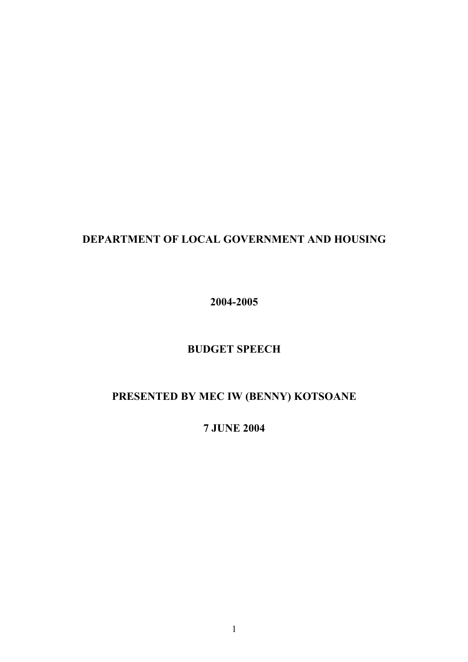## **DEPARTMENT OF LOCAL GOVERNMENT AND HOUSING**

**2004-2005**

### **BUDGET SPEECH**

# **PRESENTED BY MEC IW (BENNY) KOTSOANE**

**7 JUNE 2004**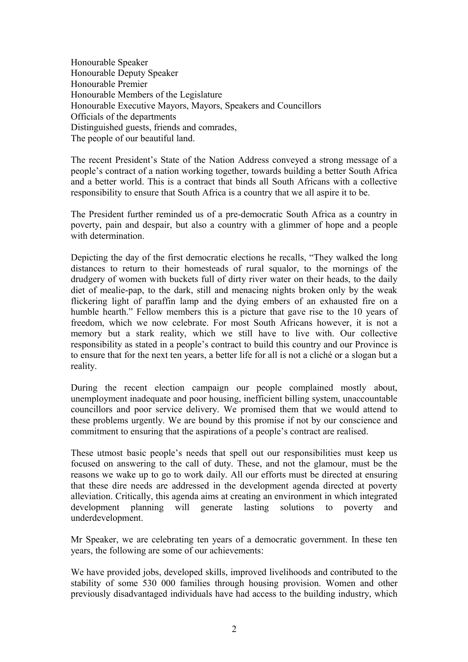Honourable Speaker Honourable Deputy Speaker Honourable Premier Honourable Members of the Legislature Honourable Executive Mayors, Mayors, Speakers and Councillors Officials of the departments Distinguished guests, friends and comrades, The people of our beautiful land.

The recent President's State of the Nation Address conveyed a strong message of a people's contract of a nation working together, towards building a better South Africa and a better world. This is a contract that binds all South Africans with a collective responsibility to ensure that South Africa is a country that we all aspire it to be.

The President further reminded us of a pre-democratic South Africa as a country in poverty, pain and despair, but also a country with a glimmer of hope and a people with determination.

Depicting the day of the first democratic elections he recalls, "They walked the long distances to return to their homesteads of rural squalor, to the mornings of the drudgery of women with buckets full of dirty river water on their heads, to the daily diet of mealie-pap, to the dark, still and menacing nights broken only by the weak flickering light of paraffin lamp and the dying embers of an exhausted fire on a humble hearth." Fellow members this is a picture that gave rise to the 10 years of freedom, which we now celebrate. For most South Africans however, it is not a memory but a stark reality, which we still have to live with. Our collective responsibility as stated in a people's contract to build this country and our Province is to ensure that for the next ten years, a better life for all is not a cliché or a slogan but a reality.

During the recent election campaign our people complained mostly about, unemployment inadequate and poor housing, inefficient billing system, unaccountable councillors and poor service delivery. We promised them that we would attend to these problems urgently. We are bound by this promise if not by our conscience and commitment to ensuring that the aspirations of a people's contract are realised.

These utmost basic people's needs that spell out our responsibilities must keep us focused on answering to the call of duty. These, and not the glamour, must be the reasons we wake up to go to work daily. All our efforts must be directed at ensuring that these dire needs are addressed in the development agenda directed at poverty alleviation. Critically, this agenda aims at creating an environment in which integrated development planning will generate lasting solutions to poverty and underdevelopment.

Mr Speaker, we are celebrating ten years of a democratic government. In these ten years, the following are some of our achievements:

We have provided jobs, developed skills, improved livelihoods and contributed to the stability of some 530 000 families through housing provision. Women and other previously disadvantaged individuals have had access to the building industry, which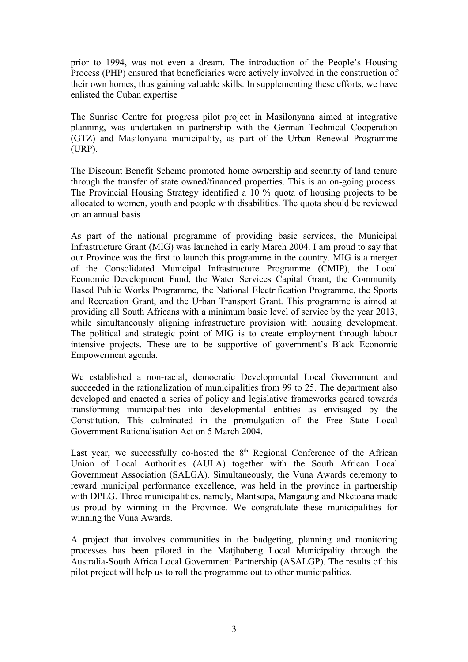prior to 1994, was not even a dream. The introduction of the People's Housing Process (PHP) ensured that beneficiaries were actively involved in the construction of their own homes, thus gaining valuable skills. In supplementing these efforts, we have enlisted the Cuban expertise

The Sunrise Centre for progress pilot project in Masilonyana aimed at integrative planning, was undertaken in partnership with the German Technical Cooperation (GTZ) and Masilonyana municipality, as part of the Urban Renewal Programme (URP).

The Discount Benefit Scheme promoted home ownership and security of land tenure through the transfer of state owned/financed properties. This is an on-going process. The Provincial Housing Strategy identified a 10 % quota of housing projects to be allocated to women, youth and people with disabilities. The quota should be reviewed on an annual basis

As part of the national programme of providing basic services, the Municipal Infrastructure Grant (MIG) was launched in early March 2004. I am proud to say that our Province was the first to launch this programme in the country. MIG is a merger of the Consolidated Municipal Infrastructure Programme (CMIP), the Local Economic Development Fund, the Water Services Capital Grant, the Community Based Public Works Programme, the National Electrification Programme, the Sports and Recreation Grant, and the Urban Transport Grant. This programme is aimed at providing all South Africans with a minimum basic level of service by the year 2013, while simultaneously aligning infrastructure provision with housing development. The political and strategic point of MIG is to create employment through labour intensive projects. These are to be supportive of government's Black Economic Empowerment agenda.

We established a non-racial, democratic Developmental Local Government and succeeded in the rationalization of municipalities from 99 to 25. The department also developed and enacted a series of policy and legislative frameworks geared towards transforming municipalities into developmental entities as envisaged by the Constitution. This culminated in the promulgation of the Free State Local Government Rationalisation Act on 5 March 2004.

Last year, we successfully co-hosted the  $8<sup>th</sup>$  Regional Conference of the African Union of Local Authorities (AULA) together with the South African Local Government Association (SALGA). Simultaneously, the Vuna Awards ceremony to reward municipal performance excellence, was held in the province in partnership with DPLG. Three municipalities, namely, Mantsopa, Mangaung and Nketoana made us proud by winning in the Province. We congratulate these municipalities for winning the Vuna Awards.

A project that involves communities in the budgeting, planning and monitoring processes has been piloted in the Matjhabeng Local Municipality through the Australia-South Africa Local Government Partnership (ASALGP). The results of this pilot project will help us to roll the programme out to other municipalities.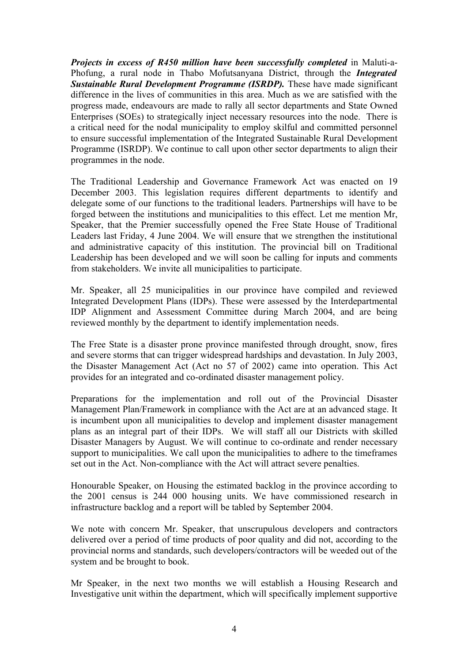*Projects in excess of R450 million have been successfully completed* in Maluti-a-Phofung, a rural node in Thabo Mofutsanyana District, through the *Integrated* **Sustainable Rural Development Programme (ISRDP).** These have made significant difference in the lives of communities in this area. Much as we are satisfied with the progress made, endeavours are made to rally all sector departments and State Owned Enterprises (SOEs) to strategically inject necessary resources into the node. There is a critical need for the nodal municipality to employ skilful and committed personnel to ensure successful implementation of the Integrated Sustainable Rural Development Programme (ISRDP). We continue to call upon other sector departments to align their programmes in the node.

The Traditional Leadership and Governance Framework Act was enacted on 19 December 2003. This legislation requires different departments to identify and delegate some of our functions to the traditional leaders. Partnerships will have to be forged between the institutions and municipalities to this effect. Let me mention Mr, Speaker, that the Premier successfully opened the Free State House of Traditional Leaders last Friday, 4 June 2004. We will ensure that we strengthen the institutional and administrative capacity of this institution. The provincial bill on Traditional Leadership has been developed and we will soon be calling for inputs and comments from stakeholders. We invite all municipalities to participate.

Mr. Speaker, all 25 municipalities in our province have compiled and reviewed Integrated Development Plans (IDPs). These were assessed by the Interdepartmental IDP Alignment and Assessment Committee during March 2004, and are being reviewed monthly by the department to identify implementation needs.

The Free State is a disaster prone province manifested through drought, snow, fires and severe storms that can trigger widespread hardships and devastation. In July 2003, the Disaster Management Act (Act no 57 of 2002) came into operation. This Act provides for an integrated and co-ordinated disaster management policy.

Preparations for the implementation and roll out of the Provincial Disaster Management Plan/Framework in compliance with the Act are at an advanced stage. It is incumbent upon all municipalities to develop and implement disaster management plans as an integral part of their IDPs. We will staff all our Districts with skilled Disaster Managers by August. We will continue to co-ordinate and render necessary support to municipalities. We call upon the municipalities to adhere to the timeframes set out in the Act. Non-compliance with the Act will attract severe penalties.

Honourable Speaker, on Housing the estimated backlog in the province according to the 2001 census is 244 000 housing units. We have commissioned research in infrastructure backlog and a report will be tabled by September 2004.

We note with concern Mr. Speaker, that unscrupulous developers and contractors delivered over a period of time products of poor quality and did not, according to the provincial norms and standards, such developers/contractors will be weeded out of the system and be brought to book.

Mr Speaker, in the next two months we will establish a Housing Research and Investigative unit within the department, which will specifically implement supportive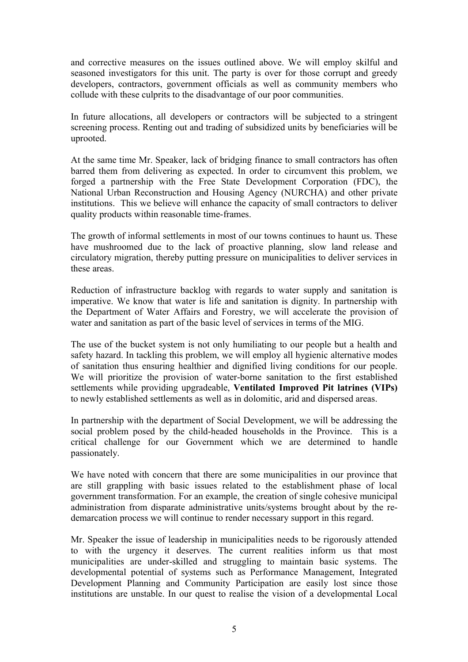and corrective measures on the issues outlined above. We will employ skilful and seasoned investigators for this unit. The party is over for those corrupt and greedy developers, contractors, government officials as well as community members who collude with these culprits to the disadvantage of our poor communities.

In future allocations, all developers or contractors will be subjected to a stringent screening process. Renting out and trading of subsidized units by beneficiaries will be uprooted.

At the same time Mr. Speaker, lack of bridging finance to small contractors has often barred them from delivering as expected. In order to circumvent this problem, we forged a partnership with the Free State Development Corporation (FDC), the National Urban Reconstruction and Housing Agency (NURCHA) and other private institutions. This we believe will enhance the capacity of small contractors to deliver quality products within reasonable time-frames.

The growth of informal settlements in most of our towns continues to haunt us. These have mushroomed due to the lack of proactive planning, slow land release and circulatory migration, thereby putting pressure on municipalities to deliver services in these areas.

Reduction of infrastructure backlog with regards to water supply and sanitation is imperative. We know that water is life and sanitation is dignity. In partnership with the Department of Water Affairs and Forestry, we will accelerate the provision of water and sanitation as part of the basic level of services in terms of the MIG.

The use of the bucket system is not only humiliating to our people but a health and safety hazard. In tackling this problem, we will employ all hygienic alternative modes of sanitation thus ensuring healthier and dignified living conditions for our people. We will prioritize the provision of water-borne sanitation to the first established settlements while providing upgradeable, **Ventilated Improved Pit latrines (VIPs)** to newly established settlements as well as in dolomitic, arid and dispersed areas.

In partnership with the department of Social Development, we will be addressing the social problem posed by the child-headed households in the Province. This is a critical challenge for our Government which we are determined to handle passionately.

We have noted with concern that there are some municipalities in our province that are still grappling with basic issues related to the establishment phase of local government transformation. For an example, the creation of single cohesive municipal administration from disparate administrative units/systems brought about by the redemarcation process we will continue to render necessary support in this regard.

Mr. Speaker the issue of leadership in municipalities needs to be rigorously attended to with the urgency it deserves. The current realities inform us that most municipalities are under-skilled and struggling to maintain basic systems. The developmental potential of systems such as Performance Management, Integrated Development Planning and Community Participation are easily lost since those institutions are unstable. In our quest to realise the vision of a developmental Local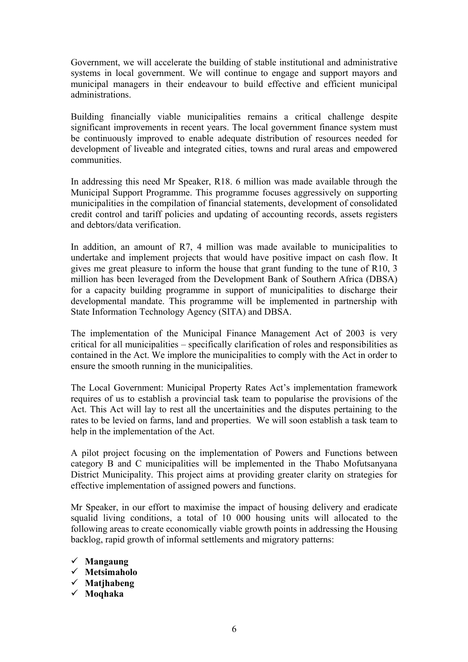Government, we will accelerate the building of stable institutional and administrative systems in local government. We will continue to engage and support mayors and municipal managers in their endeavour to build effective and efficient municipal administrations.

Building financially viable municipalities remains a critical challenge despite significant improvements in recent years. The local government finance system must be continuously improved to enable adequate distribution of resources needed for development of liveable and integrated cities, towns and rural areas and empowered communities.

In addressing this need Mr Speaker, R18. 6 million was made available through the Municipal Support Programme. This programme focuses aggressively on supporting municipalities in the compilation of financial statements, development of consolidated credit control and tariff policies and updating of accounting records, assets registers and debtors/data verification.

In addition, an amount of R7, 4 million was made available to municipalities to undertake and implement projects that would have positive impact on cash flow. It gives me great pleasure to inform the house that grant funding to the tune of R10, 3 million has been leveraged from the Development Bank of Southern Africa (DBSA) for a capacity building programme in support of municipalities to discharge their developmental mandate. This programme will be implemented in partnership with State Information Technology Agency (SITA) and DBSA.

The implementation of the Municipal Finance Management Act of 2003 is very critical for all municipalities – specifically clarification of roles and responsibilities as contained in the Act. We implore the municipalities to comply with the Act in order to ensure the smooth running in the municipalities.

The Local Government: Municipal Property Rates Act's implementation framework requires of us to establish a provincial task team to popularise the provisions of the Act. This Act will lay to rest all the uncertainities and the disputes pertaining to the rates to be levied on farms, land and properties. We will soon establish a task team to help in the implementation of the Act.

A pilot project focusing on the implementation of Powers and Functions between category B and C municipalities will be implemented in the Thabo Mofutsanyana District Municipality. This project aims at providing greater clarity on strategies for effective implementation of assigned powers and functions.

Mr Speaker, in our effort to maximise the impact of housing delivery and eradicate squalid living conditions, a total of 10 000 housing units will allocated to the following areas to create economically viable growth points in addressing the Housing backlog, rapid growth of informal settlements and migratory patterns:

- **Mangaung**
- **Metsimaholo**
- **Matjhabeng**
- **Moqhaka**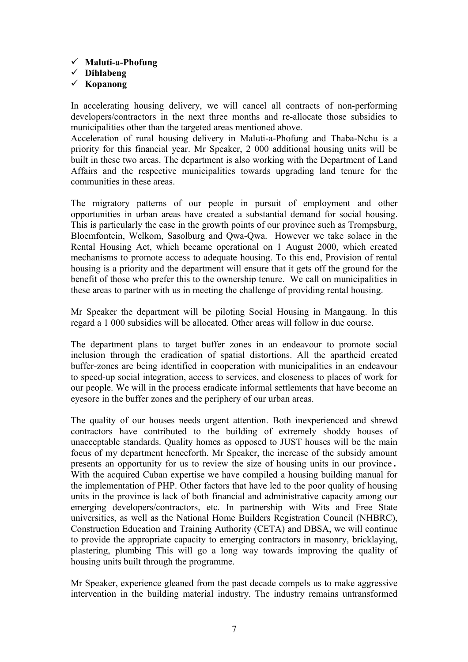#### **Maluti-a-Phofung**

**Dihlabeng**

#### **Kopanong**

In accelerating housing delivery, we will cancel all contracts of non-performing developers/contractors in the next three months and re-allocate those subsidies to municipalities other than the targeted areas mentioned above.

Acceleration of rural housing delivery in Maluti-a-Phofung and Thaba-Nchu is a priority for this financial year. Mr Speaker, 2 000 additional housing units will be built in these two areas. The department is also working with the Department of Land Affairs and the respective municipalities towards upgrading land tenure for the communities in these areas.

The migratory patterns of our people in pursuit of employment and other opportunities in urban areas have created a substantial demand for social housing. This is particularly the case in the growth points of our province such as Trompsburg, Bloemfontein, Welkom, Sasolburg and Qwa-Qwa. However we take solace in the Rental Housing Act, which became operational on 1 August 2000, which created mechanisms to promote access to adequate housing. To this end, Provision of rental housing is a priority and the department will ensure that it gets off the ground for the benefit of those who prefer this to the ownership tenure. We call on municipalities in these areas to partner with us in meeting the challenge of providing rental housing.

Mr Speaker the department will be piloting Social Housing in Mangaung. In this regard a 1 000 subsidies will be allocated. Other areas will follow in due course.

The department plans to target buffer zones in an endeavour to promote social inclusion through the eradication of spatial distortions. All the apartheid created buffer-zones are being identified in cooperation with municipalities in an endeavour to speed-up social integration, access to services, and closeness to places of work for our people. We will in the process eradicate informal settlements that have become an eyesore in the buffer zones and the periphery of our urban areas.

The quality of our houses needs urgent attention. Both inexperienced and shrewd contractors have contributed to the building of extremely shoddy houses of unacceptable standards. Quality homes as opposed to JUST houses will be the main focus of my department henceforth. Mr Speaker, the increase of the subsidy amount presents an opportunity for us to review the size of housing units in our province. With the acquired Cuban expertise we have compiled a housing building manual for the implementation of PHP. Other factors that have led to the poor quality of housing units in the province is lack of both financial and administrative capacity among our emerging developers/contractors, etc. In partnership with Wits and Free State universities, as well as the National Home Builders Registration Council (NHBRC), Construction Education and Training Authority (CETA) and DBSA, we will continue to provide the appropriate capacity to emerging contractors in masonry, bricklaying, plastering, plumbing This will go a long way towards improving the quality of housing units built through the programme.

Mr Speaker, experience gleaned from the past decade compels us to make aggressive intervention in the building material industry. The industry remains untransformed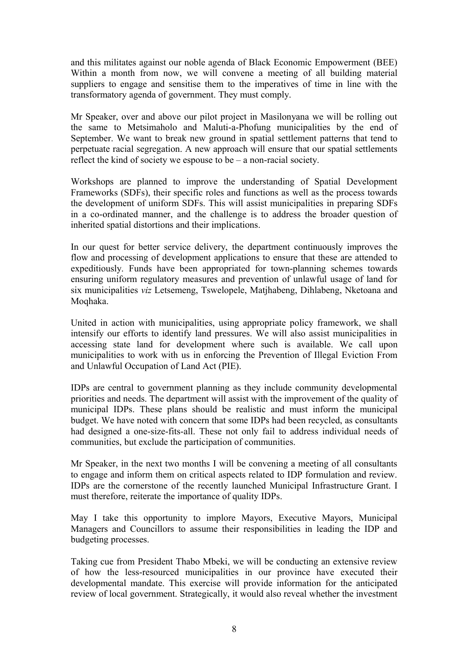and this militates against our noble agenda of Black Economic Empowerment (BEE) Within a month from now, we will convene a meeting of all building material suppliers to engage and sensitise them to the imperatives of time in line with the transformatory agenda of government. They must comply.

Mr Speaker, over and above our pilot project in Masilonyana we will be rolling out the same to Metsimaholo and Maluti-a-Phofung municipalities by the end of September. We want to break new ground in spatial settlement patterns that tend to perpetuate racial segregation. A new approach will ensure that our spatial settlements reflect the kind of society we espouse to be – a non-racial society.

Workshops are planned to improve the understanding of Spatial Development Frameworks (SDFs), their specific roles and functions as well as the process towards the development of uniform SDFs. This will assist municipalities in preparing SDFs in a co-ordinated manner, and the challenge is to address the broader question of inherited spatial distortions and their implications.

In our quest for better service delivery, the department continuously improves the flow and processing of development applications to ensure that these are attended to expeditiously. Funds have been appropriated for town-planning schemes towards ensuring uniform regulatory measures and prevention of unlawful usage of land for six municipalities *viz* Letsemeng, Tswelopele, Matjhabeng, Dihlabeng, Nketoana and Moqhaka.

United in action with municipalities, using appropriate policy framework, we shall intensify our efforts to identify land pressures. We will also assist municipalities in accessing state land for development where such is available. We call upon municipalities to work with us in enforcing the Prevention of Illegal Eviction From and Unlawful Occupation of Land Act (PIE).

IDPs are central to government planning as they include community developmental priorities and needs. The department will assist with the improvement of the quality of municipal IDPs. These plans should be realistic and must inform the municipal budget. We have noted with concern that some IDPs had been recycled, as consultants had designed a one-size-fits-all. These not only fail to address individual needs of communities, but exclude the participation of communities.

Mr Speaker, in the next two months I will be convening a meeting of all consultants to engage and inform them on critical aspects related to IDP formulation and review. IDPs are the cornerstone of the recently launched Municipal Infrastructure Grant. I must therefore, reiterate the importance of quality IDPs.

May I take this opportunity to implore Mayors, Executive Mayors, Municipal Managers and Councillors to assume their responsibilities in leading the IDP and budgeting processes.

Taking cue from President Thabo Mbeki, we will be conducting an extensive review of how the less-resourced municipalities in our province have executed their developmental mandate. This exercise will provide information for the anticipated review of local government. Strategically, it would also reveal whether the investment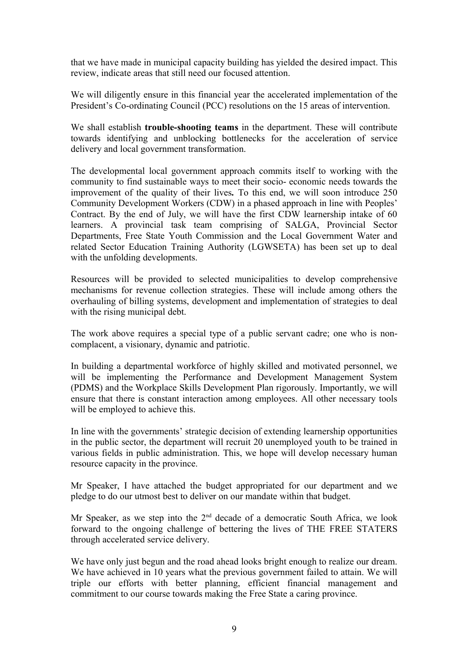that we have made in municipal capacity building has yielded the desired impact. This review, indicate areas that still need our focused attention.

We will diligently ensure in this financial year the accelerated implementation of the President's Co-ordinating Council (PCC) resolutions on the 15 areas of intervention.

We shall establish **trouble-shooting teams** in the department. These will contribute towards identifying and unblocking bottlenecks for the acceleration of service delivery and local government transformation.

The developmental local government approach commits itself to working with the community to find sustainable ways to meet their socio- economic needs towards the improvement of the quality of their lives*.* To this end, we will soon introduce 250 Community Development Workers (CDW) in a phased approach in line with Peoples' Contract. By the end of July, we will have the first CDW learnership intake of 60 learners. A provincial task team comprising of SALGA, Provincial Sector Departments, Free State Youth Commission and the Local Government Water and related Sector Education Training Authority (LGWSETA) has been set up to deal with the unfolding developments.

Resources will be provided to selected municipalities to develop comprehensive mechanisms for revenue collection strategies. These will include among others the overhauling of billing systems, development and implementation of strategies to deal with the rising municipal debt.

The work above requires a special type of a public servant cadre; one who is noncomplacent, a visionary, dynamic and patriotic.

In building a departmental workforce of highly skilled and motivated personnel, we will be implementing the Performance and Development Management System (PDMS) and the Workplace Skills Development Plan rigorously. Importantly, we will ensure that there is constant interaction among employees. All other necessary tools will be employed to achieve this.

In line with the governments' strategic decision of extending learnership opportunities in the public sector, the department will recruit 20 unemployed youth to be trained in various fields in public administration. This, we hope will develop necessary human resource capacity in the province.

Mr Speaker, I have attached the budget appropriated for our department and we pledge to do our utmost best to deliver on our mandate within that budget.

Mr Speaker, as we step into the  $2<sup>nd</sup>$  decade of a democratic South Africa, we look forward to the ongoing challenge of bettering the lives of THE FREE STATERS through accelerated service delivery.

We have only just begun and the road ahead looks bright enough to realize our dream. We have achieved in 10 years what the previous government failed to attain. We will triple our efforts with better planning, efficient financial management and commitment to our course towards making the Free State a caring province.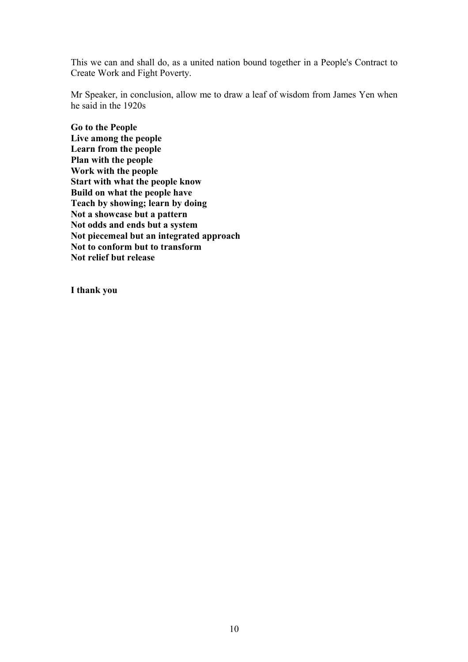This we can and shall do, as a united nation bound together in a People's Contract to Create Work and Fight Poverty.

Mr Speaker, in conclusion, allow me to draw a leaf of wisdom from James Yen when he said in the 1920s

**Go to the People Live among the people Learn from the people Plan with the people Work with the people Start with what the people know Build on what the people have Teach by showing; learn by doing Not a showcase but a pattern Not odds and ends but a system Not piecemeal but an integrated approach Not to conform but to transform Not relief but release** 

**I thank you**